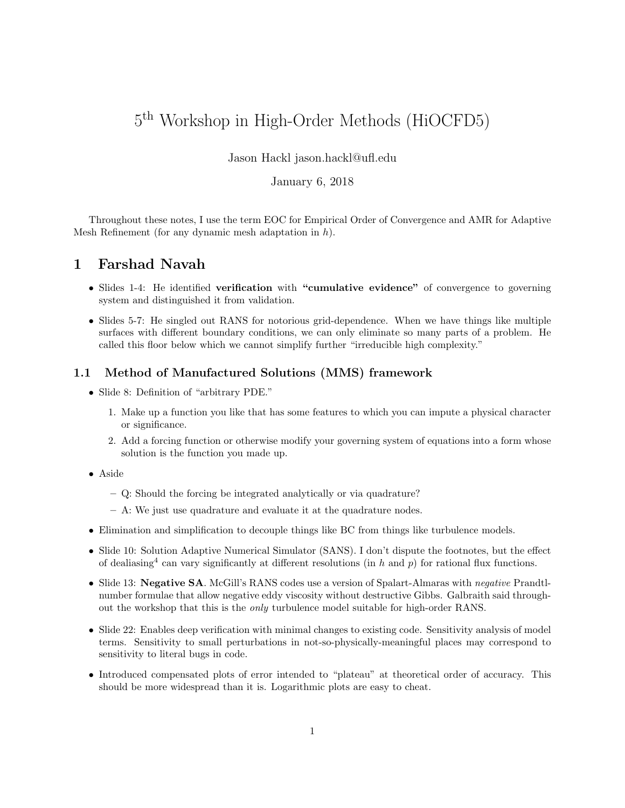# 5 th Workshop in High-Order Methods (HiOCFD5)

#### Jason Hackl jason.hackl@ufl.edu

## January 6, 2018

Throughout these notes, I use the term EOC for Empirical Order of Convergence and AMR for Adaptive Mesh Refinement (for any dynamic mesh adaptation in  $h$ ).

# 1 Farshad Navah

- Slides 1-4: He identified verification with "cumulative evidence" of convergence to governing system and distinguished it from validation.
- Slides 5-7: He singled out RANS for notorious grid-dependence. When we have things like multiple surfaces with different boundary conditions, we can only eliminate so many parts of a problem. He called this floor below which we cannot simplify further "irreducible high complexity."

## 1.1 Method of Manufactured Solutions (MMS) framework

- Slide 8: Definition of "arbitrary PDE."
	- 1. Make up a function you like that has some features to which you can impute a physical character or significance.
	- 2. Add a forcing function or otherwise modify your governing system of equations into a form whose solution is the function you made up.
- Aside
	- Q: Should the forcing be integrated analytically or via quadrature?
	- A: We just use quadrature and evaluate it at the quadrature nodes.
- Elimination and simplification to decouple things like BC from things like turbulence models.
- Slide 10: Solution Adaptive Numerical Simulator (SANS). I don't dispute the footnotes, but the effect of dealiasing<sup>4</sup> can vary significantly at different resolutions (in h and p) for rational flux functions.
- Slide 13: Negative SA. McGill's RANS codes use a version of Spalart-Almaras with negative Prandtlnumber formulae that allow negative eddy viscosity without destructive Gibbs. Galbraith said throughout the workshop that this is the only turbulence model suitable for high-order RANS.
- Slide 22: Enables deep verification with minimal changes to existing code. Sensitivity analysis of model terms. Sensitivity to small perturbations in not-so-physically-meaningful places may correspond to sensitivity to literal bugs in code.
- Introduced compensated plots of error intended to "plateau" at theoretical order of accuracy. This should be more widespread than it is. Logarithmic plots are easy to cheat.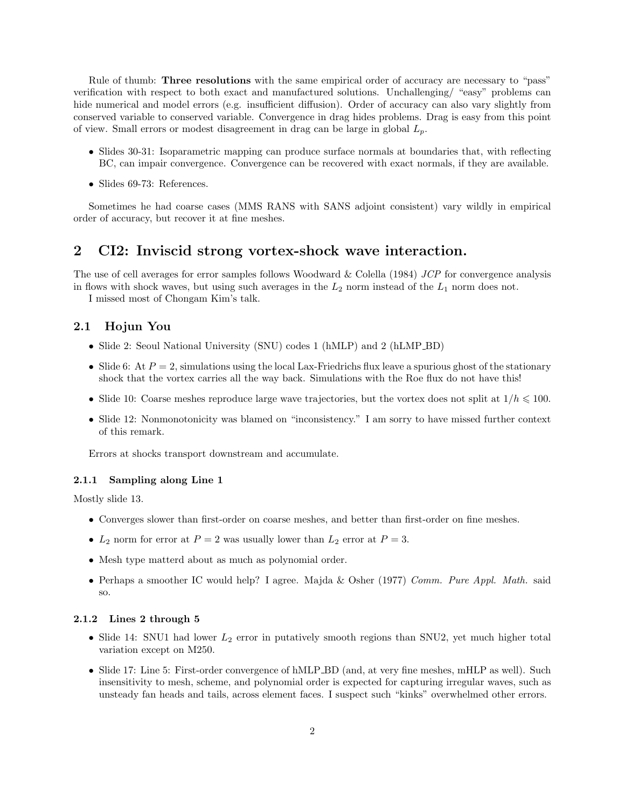Rule of thumb: **Three resolutions** with the same empirical order of accuracy are necessary to "pass" verification with respect to both exact and manufactured solutions. Unchallenging/ "easy" problems can hide numerical and model errors (e.g. insufficient diffusion). Order of accuracy can also vary slightly from conserved variable to conserved variable. Convergence in drag hides problems. Drag is easy from this point of view. Small errors or modest disagreement in drag can be large in global  $L_p$ .

- Slides 30-31: Isoparametric mapping can produce surface normals at boundaries that, with reflecting BC, can impair convergence. Convergence can be recovered with exact normals, if they are available.
- Slides 69-73: References.

Sometimes he had coarse cases (MMS RANS with SANS adjoint consistent) vary wildly in empirical order of accuracy, but recover it at fine meshes.

## 2 CI2: Inviscid strong vortex-shock wave interaction.

The use of cell averages for error samples follows Woodward & Colella (1984) JCP for convergence analysis in flows with shock waves, but using such averages in the  $L_2$  norm instead of the  $L_1$  norm does not.

I missed most of Chongam Kim's talk.

## 2.1 Hojun You

- Slide 2: Seoul National University (SNU) codes 1 (hMLP) and 2 (hLMP\_BD)
- Slide 6: At  $P = 2$ , simulations using the local Lax-Friedrichs flux leave a spurious ghost of the stationary shock that the vortex carries all the way back. Simulations with the Roe flux do not have this!
- Slide 10: Coarse meshes reproduce large wave trajectories, but the vortex does not split at  $1/h \leq 100$ .
- Slide 12: Nonmonotonicity was blamed on "inconsistency." I am sorry to have missed further context of this remark.

Errors at shocks transport downstream and accumulate.

#### 2.1.1 Sampling along Line 1

Mostly slide 13.

- Converges slower than first-order on coarse meshes, and better than first-order on fine meshes.
- $L_2$  norm for error at  $P = 2$  was usually lower than  $L_2$  error at  $P = 3$ .
- Mesh type matterd about as much as polynomial order.
- Perhaps a smoother IC would help? I agree. Majda & Osher (1977) Comm. Pure Appl. Math. said so.

#### 2.1.2 Lines 2 through 5

- Slide 14: SNU1 had lower  $L_2$  error in putatively smooth regions than SNU2, yet much higher total variation except on M250.
- Slide 17: Line 5: First-order convergence of hMLP BD (and, at very fine meshes, mHLP as well). Such insensitivity to mesh, scheme, and polynomial order is expected for capturing irregular waves, such as unsteady fan heads and tails, across element faces. I suspect such "kinks" overwhelmed other errors.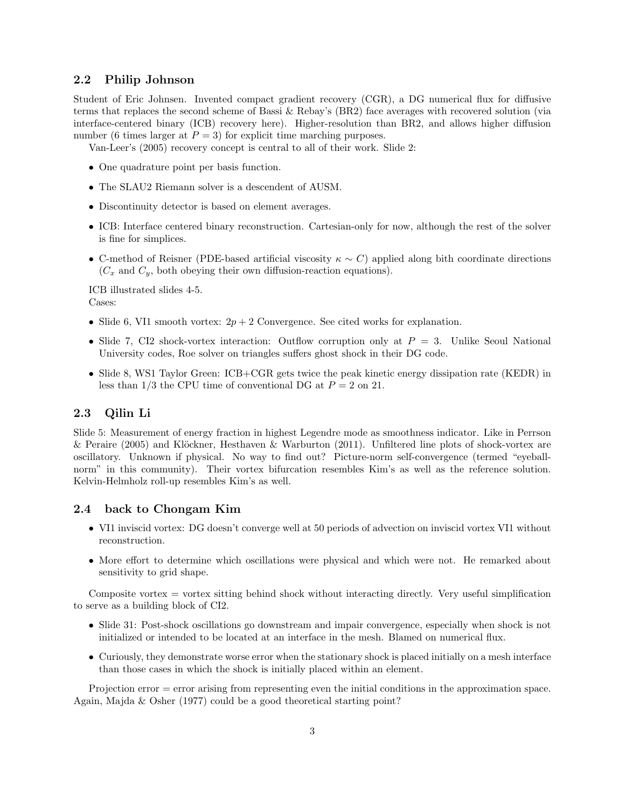#### 2.2 Philip Johnson

Student of Eric Johnsen. Invented compact gradient recovery (CGR), a DG numerical flux for diffusive terms that replaces the second scheme of Bassi & Rebay's (BR2) face averages with recovered solution (via interface-centered binary (ICB) recovery here). Higher-resolution than BR2, and allows higher diffusion number (6 times larger at  $P = 3$ ) for explicit time marching purposes.

Van-Leer's (2005) recovery concept is central to all of their work. Slide 2:

- One quadrature point per basis function.
- The SLAU2 Riemann solver is a descendent of AUSM.
- Discontinuity detector is based on element averages.
- ICB: Interface centered binary reconstruction. Cartesian-only for now, although the rest of the solver is fine for simplices.
- C-method of Reisner (PDE-based artificial viscosity  $\kappa \sim C$ ) applied along bith coordinate directions  $(C_x$  and  $C_y$ , both obeying their own diffusion-reaction equations).

ICB illustrated slides 4-5. Cases:

- Slide 6, VI1 smooth vortex:  $2p + 2$  Convergence. See cited works for explanation.
- Slide 7, CI2 shock-vortex interaction: Outflow corruption only at  $P = 3$ . Unlike Seoul National University codes, Roe solver on triangles suffers ghost shock in their DG code.
- Slide 8, WS1 Taylor Green: ICB+CGR gets twice the peak kinetic energy dissipation rate (KEDR) in less than  $1/3$  the CPU time of conventional DG at  $P = 2$  on 21.

#### 2.3 Qilin Li

Slide 5: Measurement of energy fraction in highest Legendre mode as smoothness indicator. Like in Perrson & Peraire (2005) and Klöckner, Hesthaven & Warburton (2011). Unfiltered line plots of shock-vortex are oscillatory. Unknown if physical. No way to find out? Picture-norm self-convergence (termed "eyeballnorm" in this community). Their vortex bifurcation resembles Kim's as well as the reference solution. Kelvin-Helmholz roll-up resembles Kim's as well.

#### 2.4 back to Chongam Kim

- VI1 inviscid vortex: DG doesn't converge well at 50 periods of advection on inviscid vortex VI1 without reconstruction.
- More effort to determine which oscillations were physical and which were not. He remarked about sensitivity to grid shape.

Composite vortex = vortex sitting behind shock without interacting directly. Very useful simplification to serve as a building block of CI2.

- Slide 31: Post-shock oscillations go downstream and impair convergence, especially when shock is not initialized or intended to be located at an interface in the mesh. Blamed on numerical flux.
- Curiously, they demonstrate worse error when the stationary shock is placed initially on a mesh interface than those cases in which the shock is initially placed within an element.

Projection error = error arising from representing even the initial conditions in the approximation space. Again, Majda & Osher (1977) could be a good theoretical starting point?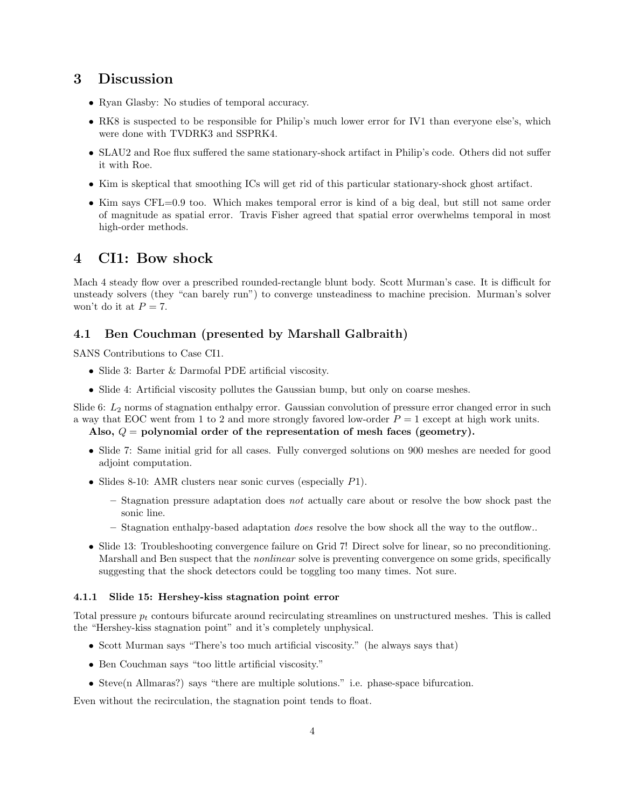# 3 Discussion

- Ryan Glasby: No studies of temporal accuracy.
- RK8 is suspected to be responsible for Philip's much lower error for IV1 than everyone else's, which were done with TVDRK3 and SSPRK4.
- SLAU2 and Roe flux suffered the same stationary-shock artifact in Philip's code. Others did not suffer it with Roe.
- Kim is skeptical that smoothing ICs will get rid of this particular stationary-shock ghost artifact.
- Kim says CFL=0.9 too. Which makes temporal error is kind of a big deal, but still not same order of magnitude as spatial error. Travis Fisher agreed that spatial error overwhelms temporal in most high-order methods.

# 4 CI1: Bow shock

Mach 4 steady flow over a prescribed rounded-rectangle blunt body. Scott Murman's case. It is difficult for unsteady solvers (they "can barely run") to converge unsteadiness to machine precision. Murman's solver won't do it at  $P = 7$ .

## 4.1 Ben Couchman (presented by Marshall Galbraith)

SANS Contributions to Case CI1.

- Slide 3: Barter & Darmofal PDE artificial viscosity.
- Slide 4: Artificial viscosity pollutes the Gaussian bump, but only on coarse meshes.

Slide 6:  $L_2$  norms of stagnation enthalpy error. Gaussian convolution of pressure error changed error in such a way that EOC went from 1 to 2 and more strongly favored low-order  $P = 1$  except at high work units.

## Also,  $Q =$  polynomial order of the representation of mesh faces (geometry).

- Slide 7: Same initial grid for all cases. Fully converged solutions on 900 meshes are needed for good adjoint computation.
- Slides 8-10: AMR clusters near sonic curves (especially  $P1$ ).
	- $-$  Stagnation pressure adaptation does not actually care about or resolve the bow shock past the sonic line.
	- Stagnation enthalpy-based adaptation *does* resolve the bow shock all the way to the outflow..
- Slide 13: Troubleshooting convergence failure on Grid 7! Direct solve for linear, so no preconditioning. Marshall and Ben suspect that the nonlinear solve is preventing convergence on some grids, specifically suggesting that the shock detectors could be toggling too many times. Not sure.

#### 4.1.1 Slide 15: Hershey-kiss stagnation point error

Total pressure  $p_t$  contours bifurcate around recirculating streamlines on unstructured meshes. This is called the "Hershey-kiss stagnation point" and it's completely unphysical.

- Scott Murman says "There's too much artificial viscosity." (he always says that)
- Ben Couchman says "too little artificial viscosity."
- Steve(n Allmaras?) says "there are multiple solutions." i.e. phase-space bifurcation.

Even without the recirculation, the stagnation point tends to float.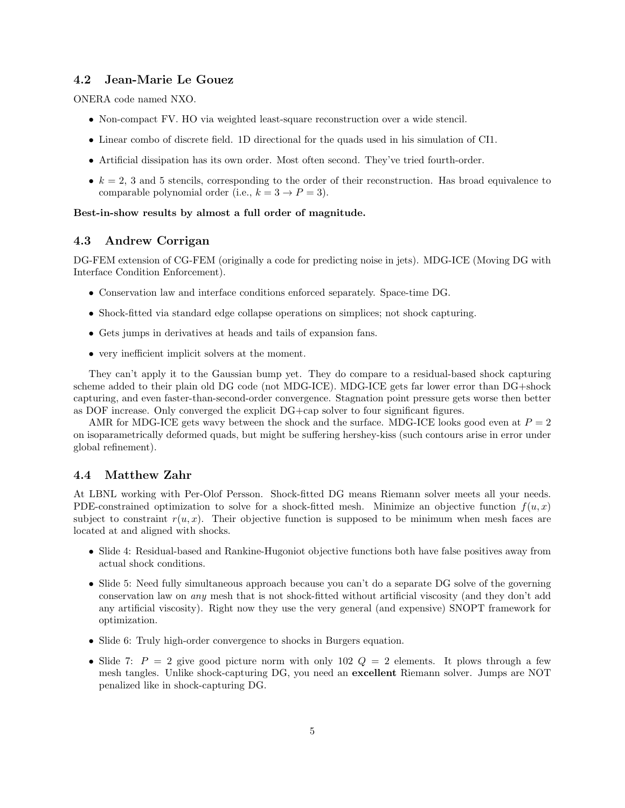## 4.2 Jean-Marie Le Gouez

ONERA code named NXO.

- Non-compact FV. HO via weighted least-square reconstruction over a wide stencil.
- Linear combo of discrete field. 1D directional for the quads used in his simulation of CI1.
- Artificial dissipation has its own order. Most often second. They've tried fourth-order.
- $k = 2, 3$  and 5 stencils, corresponding to the order of their reconstruction. Has broad equivalence to comparable polynomial order (i.e.,  $k = 3 \rightarrow P = 3$ ).

#### Best-in-show results by almost a full order of magnitude.

## 4.3 Andrew Corrigan

DG-FEM extension of CG-FEM (originally a code for predicting noise in jets). MDG-ICE (Moving DG with Interface Condition Enforcement).

- Conservation law and interface conditions enforced separately. Space-time DG.
- Shock-fitted via standard edge collapse operations on simplices; not shock capturing.
- Gets jumps in derivatives at heads and tails of expansion fans.
- very inefficient implicit solvers at the moment.

They can't apply it to the Gaussian bump yet. They do compare to a residual-based shock capturing scheme added to their plain old DG code (not MDG-ICE). MDG-ICE gets far lower error than DG+shock capturing, and even faster-than-second-order convergence. Stagnation point pressure gets worse then better as DOF increase. Only converged the explicit DG+cap solver to four significant figures.

AMR for MDG-ICE gets wavy between the shock and the surface. MDG-ICE looks good even at  $P = 2$ on isoparametrically deformed quads, but might be suffering hershey-kiss (such contours arise in error under global refinement).

## 4.4 Matthew Zahr

At LBNL working with Per-Olof Persson. Shock-fitted DG means Riemann solver meets all your needs. PDE-constrained optimization to solve for a shock-fitted mesh. Minimize an objective function  $f(u, x)$ subject to constraint  $r(u, x)$ . Their objective function is supposed to be minimum when mesh faces are located at and aligned with shocks.

- Slide 4: Residual-based and Rankine-Hugoniot objective functions both have false positives away from actual shock conditions.
- Slide 5: Need fully simultaneous approach because you can't do a separate DG solve of the governing conservation law on any mesh that is not shock-fitted without artificial viscosity (and they don't add any artificial viscosity). Right now they use the very general (and expensive) SNOPT framework for optimization.
- Slide 6: Truly high-order convergence to shocks in Burgers equation.
- Slide 7:  $P = 2$  give good picture norm with only 102  $Q = 2$  elements. It plows through a few mesh tangles. Unlike shock-capturing DG, you need an excellent Riemann solver. Jumps are NOT penalized like in shock-capturing DG.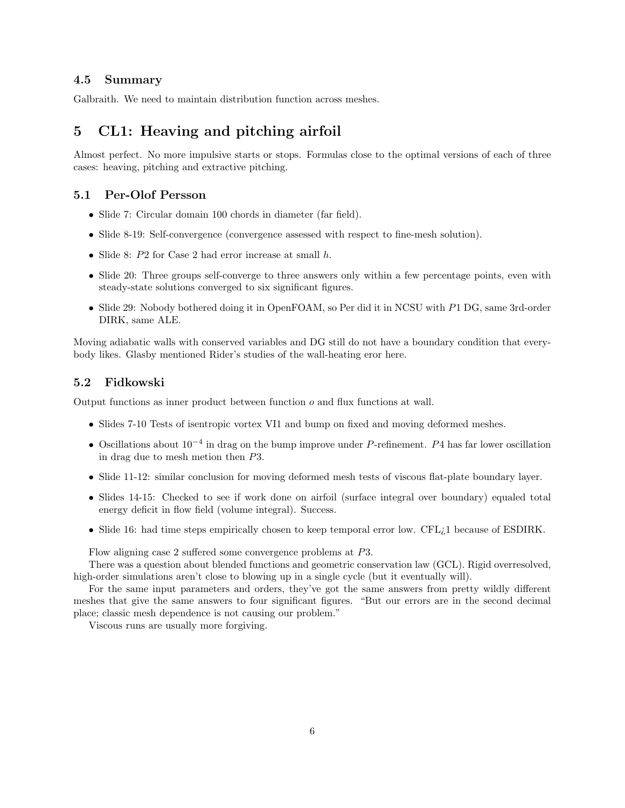#### 4.5 Summary

Galbraith. We need to maintain distribution function across meshes.

# 5 CL1: Heaving and pitching airfoil

Almost perfect. No more impulsive starts or stops. Formulas close to the optimal versions of each of three cases: heaving, pitching and extractive pitching.

#### 5.1 Per-Olof Persson

- Slide 7: Circular domain 100 chords in diameter (far field).
- Slide 8-19: Self-convergence (convergence assessed with respect to fine-mesh solution).
- Slide 8: P2 for Case 2 had error increase at small h.
- Slide 20: Three groups self-converge to three answers only within a few percentage points, even with steady-state solutions converged to six significant figures.
- Slide 29: Nobody bothered doing it in OpenFOAM, so Per did it in NCSU with P1 DG, same 3rd-order DIRK, same ALE.

Moving adiabatic walls with conserved variables and DG still do not have a boundary condition that everybody likes. Glasby mentioned Rider's studies of the wall-heating eror here.

#### 5.2 Fidkowski

Output functions as inner product between function o and flux functions at wall.

- Slides 7-10 Tests of isentropic vortex VI1 and bump on fixed and moving deformed meshes.
- Oscillations about  $10^{-4}$  in drag on the bump improve under P-refinement. P4 has far lower oscillation in drag due to mesh metion then P3.
- Slide 11-12: similar conclusion for moving deformed mesh tests of viscous flat-plate boundary layer.
- Slides 14-15: Checked to see if work done on airfoil (surface integral over boundary) equaled total energy deficit in flow field (volume integral). Success.
- Slide 16: had time steps empirically chosen to keep temporal error low. CFL<sub>i</sub>1 because of ESDIRK.

Flow aligning case 2 suffered some convergence problems at P3.

There was a question about blended functions and geometric conservation law (GCL). Rigid overresolved, high-order simulations aren't close to blowing up in a single cycle (but it eventually will).

For the same input parameters and orders, they've got the same answers from pretty wildly different meshes that give the same answers to four significant figures. "But our errors are in the second decimal place; classic mesh dependence is not causing our problem."

Viscous runs are usually more forgiving.